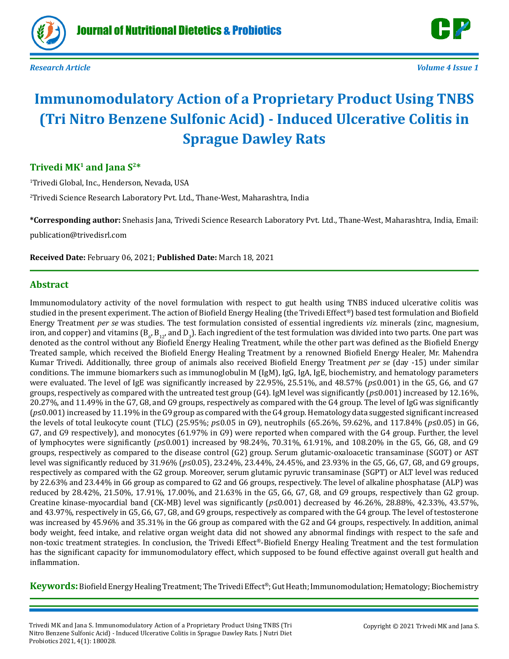



# **Immunomodulatory Action of a Proprietary Product Using TNBS (Tri Nitro Benzene Sulfonic Acid) - Induced Ulcerative Colitis in Sprague Dawley Rats**

# **Trivedi MK1 and Jana S2\***

1 Trivedi Global, Inc., Henderson, Nevada, USA

2 Trivedi Science Research Laboratory Pvt. Ltd., Thane-West, Maharashtra, India

**\*Corresponding author:** Snehasis Jana, Trivedi Science Research Laboratory Pvt. Ltd., Thane-West, Maharashtra, India, Email: publication@trivedisrl.com

**Received Date:** February 06, 2021; **Published Date:** March 18, 2021

# **Abstract**

Immunomodulatory activity of the novel formulation with respect to gut health using TNBS induced ulcerative colitis was studied in the present experiment. The action of Biofield Energy Healing (the Trivedi Effect®) based test formulation and Biofield Energy Treatment *per se* was studies. The test formulation consisted of essential ingredients *viz.* minerals (zinc, magnesium, iron, and copper) and vitamins (B<sub>6</sub>, B<sub>12</sub>, and D<sub>3</sub>). Each ingredient of the test formulation was divided into two parts. One part was into two parts was and the test formulation was divided into two parts. One part was denoted as the control without any Biofield Energy Healing Treatment, while the other part was defined as the Biofield Energy Treated sample, which received the Biofield Energy Healing Treatment by a renowned Biofield Energy Healer, Mr. Mahendra Kumar Trivedi. Additionally, three group of animals also received Biofield Energy Treatment *per se* (day -15) under similar conditions. The immune biomarkers such as immunoglobulin M (IgM), IgG, IgA, IgE, biochemistry, and hematology parameters were evaluated. The level of IgE was significantly increased by 22.95%, 25.51%, and 48.57% (*p*≤0.001) in the G5, G6, and G7 groups, respectively as compared with the untreated test group (G4). IgM level was significantly ( $p \le 0.001$ ) increased by 12.16%, 20.27%, and 11.49% in the G7, G8, and G9 groups, respectively as compared with the G4 group. The level of IgG was significantly (*p*≤0.001) increased by 11.19% in the G9 group as compared with the G4 group. Hematology data suggested significant increased the levels of total leukocyte count (TLC) (25.95%; *p*≤0.05 in G9), neutrophils (65.26%, 59.62%, and 117.84% (*p*≤0.05) in G6, G7, and G9 respectively), and monocytes (61.97% in G9) were reported when compared with the G4 group. Further, the level of lymphocytes were significantly (*p*≤0.001) increased by 98.24%, 70.31%, 61.91%, and 108.20% in the G5, G6, G8, and G9 groups, respectively as compared to the disease control (G2) group. Serum glutamic-oxaloacetic transaminase (SGOT) or AST level was significantly reduced by 31.96% (*p*≤0.05), 23.24%, 23.44%, 24.45%, and 23.93% in the G5, G6, G7, G8, and G9 groups, respectively as compared with the G2 group. Moreover, serum glutamic pyruvic transaminase (SGPT) or ALT level was reduced by 22.63% and 23.44% in G6 group as compared to G2 and G6 groups, respectively. The level of alkaline phosphatase (ALP) was reduced by 28.42%, 21.50%, 17.91%, 17.00%, and 21.63% in the G5, G6, G7, G8, and G9 groups, respectively than G2 group. Creatine kinase-myocardial band (CK-MB) level was significantly (*p*≤0.001) decreased by 46.26%, 28.88%, 42.33%, 43.57%, and 43.97%, respectively in G5, G6, G7, G8, and G9 groups, respectively as compared with the G4 group. The level of testosterone was increased by 45.96% and 35.31% in the G6 group as compared with the G2 and G4 groups, respectively. In addition, animal body weight, feed intake, and relative organ weight data did not showed any abnormal findings with respect to the safe and non-toxic treatment strategies. In conclusion, the Trivedi Effect®-Biofield Energy Healing Treatment and the test formulation has the significant capacity for immunomodulatory effect, which supposed to be found effective against overall gut health and inflammation.

**Keywords:**Biofield Energy Healing Treatment; The Trivedi Effect®; Gut Heath; Immunomodulation; Hematology; Biochemistry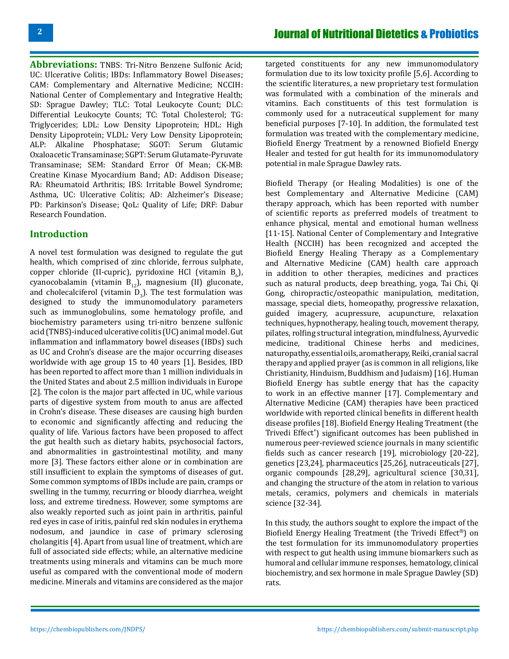**Abbreviations:** TNBS: Tri-Nitro Benzene Sulfonic Acid; UC: Ulcerative Colitis; IBDs: Inflammatory Bowel Diseases; CAM: Complementary and Alternative Medicine; NCCIH: National Center of Complementary and Integrative Health; SD: Sprague Dawley; TLC: Total Leukocyte Count; DLC: Differential Leukocyte Counts; TC: Total Cholesterol; TG: Triglycerides; LDL: Low Density Lipoprotein; HDL: High Density Lipoprotein; VLDL: Very Low Density Lipoprotein; ALP: Alkaline Phosphatase; SGOT: Serum Glutamic Oxaloacetic Transaminase; SGPT: Serum Glutamate-Pyruvate Transaminase; SEM: Standard Error Of Mean; CK-MB: Creatine Kinase Myocardium Band; AD: Addison Disease; RA: Rheumatoid Arthritis; IBS: Irritable Bowel Syndrome; Asthma, UC: Ulcerative Colitis; AD: Alzheimer's Disease; PD: Parkinson's Disease; QoL: Quality of Life; DRF: Dabur Research Foundation.

# **Introduction**

A novel test formulation was designed to regulate the gut health, which comprised of zinc chloride, ferrous sulphate, copper chloride (II-cupric), pyridoxine HCl (vitamin  $B_6$ ), cyanocobalamin (vitamin  $B_{12}$ ), magnesium (II) gluconate, and cholecalciferol (vitamin  $D_3$ ). The test formulation was designed to study the immunomodulatory parameters such as immunoglobulins, some hematology profile, and biochemistry parameters using tri-nitro benzene sulfonic acid (TNBS)-induced ulcerative colitis (UC) animal model. Gut inflammation and inflammatory bowel diseases (IBDs) such as UC and Crohn's disease are the major occurring diseases worldwide with age group 15 to 40 years [1]. Besides, IBD has been reported to affect more than 1 million individuals in the United States and about 2.5 million individuals in Europe [2]. The colon is the major part affected in UC, while various parts of digestive system from mouth to anus are affected in Crohn's disease. These diseases are causing high burden to economic and significantly affecting and reducing the quality of life. Various factors have been proposed to affect the gut health such as dietary habits, psychosocial factors, and abnormalities in gastrointestinal motility, and many more [3]. These factors either alone or in combination are still insufficient to explain the symptoms of diseases of gut. Some common symptoms of IBDs include are pain, cramps or swelling in the tummy, recurring or bloody diarrhea, weight loss, and extreme tiredness. However, some symptoms are also weakly reported such as joint pain in arthritis, painful red eyes in case of iritis, painful red skin nodules in erythema nodosum, and jaundice in case of primary sclerosing cholangitis [4]. Apart from usual line of treatment, which are full of associated side effects; while, an alternative medicine treatments using minerals and vitamins can be much more useful as compared with the conventional mode of modern medicine. Minerals and vitamins are considered as the major

targeted constituents for any new immunomodulatory formulation due to its low toxicity profile [5,6]. According to the scientific literatures, a new proprietary test formulation was formulated with a combination of the minerals and vitamins. Each constituents of this test formulation is commonly used for a nutraceutical supplement for many beneficial purposes [7-10]. In addition, the formulated test formulation was treated with the complementary medicine, Biofield Energy Treatment by a renowned Biofield Energy Healer and tested for gut health for its immunomodulatory potential in male Sprague Dawley rats.

Biofield Therapy (or Healing Modalities) is one of the best Complementary and Alternative Medicine (CAM) therapy approach, which has been reported with number of scientific reports as preferred models of treatment to enhance physical, mental and emotional human wellness [11-15]. National Center of Complementary and Integrative Health (NCCIH) has been recognized and accepted the Biofield Energy Healing Therapy as a Complementary and Alternative Medicine (CAM) health care approach in addition to other therapies, medicines and practices such as natural products, deep breathing, yoga, Tai Chi, Qi Gong, chiropractic/osteopathic manipulation, meditation, massage, special diets, homeopathy, progressive relaxation, guided imagery, acupressure, acupuncture, relaxation techniques, hypnotherapy, healing touch, movement therapy, pilates, rolfing structural integration, mindfulness, Ayurvedic medicine, traditional Chinese herbs and medicines, naturopathy, essential oils, aromatherapy, Reiki, cranial sacral therapy and applied prayer (as is common in all religions, like Christianity, Hinduism, Buddhism and Judaism) [16]. Human Biofield Energy has subtle energy that has the capacity to work in an effective manner [17]. Complementary and Alternative Medicine (CAM) therapies have been practiced worldwide with reported clinical benefits in different health disease profiles [18]. Biofield Energy Healing Treatment (the Trivedi Effect® ) significant outcomes has been published in numerous peer-reviewed science journals in many scientific fields such as cancer research [19], microbiology [20-22], genetics [23,24], pharmaceutics [25,26], nutraceuticals [27], organic compounds [28,29], agricultural science [30,31], and changing the structure of the atom in relation to various metals, ceramics, polymers and chemicals in materials science [32-34].

In this study, the authors sought to explore the impact of the Biofield Energy Healing Treatment (the Trivedi Effect®) on the test formulation for its immunomodulatory properties with respect to gut health using immune biomarkers such as humoral and cellular immune responses, hematology, clinical biochemistry, and sex hormone in male Sprague Dawley (SD) rats.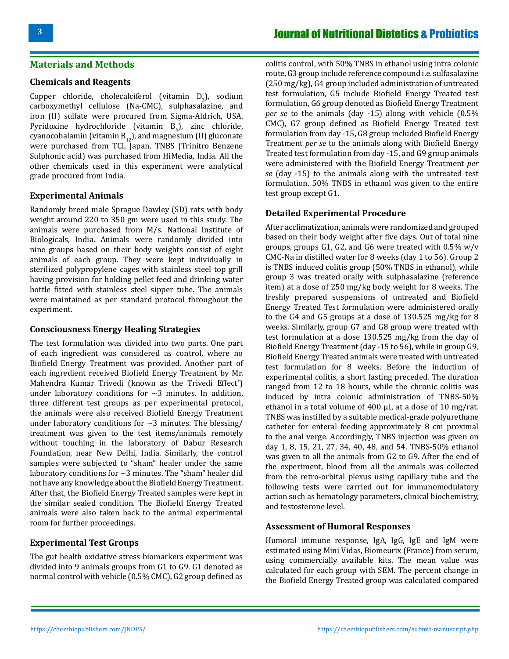# **Materials and Methods**

#### **Chemicals and Reagents**

Copper chloride, cholecalciferol (vitamin  $D_3$ ), sodium carboxymethyl cellulose (Na-CMC), sulphasalazine, and iron (II) sulfate were procured from Sigma-Aldrich, USA. Pyridoxine hydrochloride (vitamin  $B_6$ ), zinc chloride, cyanocobalamin (vitamin  $B_{12}$ ), and magnesium (II) gluconate were purchased from TCI, Japan. TNBS (Trinitro Benzene Sulphonic acid) was purchased from HiMedia, India. All the other chemicals used in this experiment were analytical grade procured from India.

#### **Experimental Animals**

Randomly breed male Sprague Dawley (SD) rats with body weight around 220 to 350 gm were used in this study. The animals were purchased from M/s. National Institute of Biologicals, India. Animals were randomly divided into nine groups based on their body weights consist of eight animals of each group. They were kept individually in sterilized polypropylene cages with stainless steel top grill having provision for holding pellet feed and drinking water bottle fitted with stainless steel sipper tube. The animals were maintained as per standard protocol throughout the experiment.

#### **Consciousness Energy Healing Strategies**

The test formulation was divided into two parts. One part of each ingredient was considered as control, where no Biofield Energy Treatment was provided. Another part of each ingredient received Biofield Energy Treatment by Mr. Mahendra Kumar Trivedi (known as the Trivedi Effect® ) under laboratory conditions for  $\sim$ 3 minutes. In addition, three different test groups as per experimental protocol, the animals were also received Biofield Energy Treatment under laboratory conditions for  $\sim$ 3 minutes. The blessing/ treatment was given to the test items/animals remotely without touching in the laboratory of Dabur Research Foundation, near New Delhi, India. Similarly, the control samples were subjected to "sham" healer under the same laboratory conditions for  $\sim$ 3 minutes. The "sham" healer did not have any knowledge about the Biofield Energy Treatment. After that, the Biofield Energy Treated samples were kept in the similar sealed condition. The Biofield Energy Treated animals were also taken back to the animal experimental room for further proceedings.

#### **Experimental Test Groups**

The gut health oxidative stress biomarkers experiment was divided into 9 animals groups from G1 to G9. G1 denoted as normal control with vehicle (0.5% CMC), G2 group defined as

colitis control, with 50% TNBS in ethanol using intra colonic route, G3 group include reference compound i.e. sulfasalazine (250 mg/kg), G4 group included administration of untreated test formulation, G5 include Biofield Energy Treated test formulation, G6 group denoted as Biofield Energy Treatment *per se* to the animals (day -15) along with vehicle (0.5% CMC), G7 group defined as Biofield Energy Treated test formulation from day -15, G8 group included Biofield Energy Treatment *per se* to the animals along with Biofield Energy Treated test formulation from day -15, and G9 group animals were administered with the Biofield Energy Treatment *per se* (day -15) to the animals along with the untreated test formulation. 50% TNBS in ethanol was given to the entire test group except G1.

#### **Detailed Experimental Procedure**

After acclimatization, animals were randomized and grouped based on their body weight after five days. Out of total nine groups, groups G1, G2, and G6 were treated with 0.5% w/v CMC-Na in distilled water for 8 weeks (day 1 to 56). Group 2 is TNBS induced colitis group (50% TNBS in ethanol), while group 3 was treated orally with sulphasalazine (reference item) at a dose of 250 mg/kg body weight for 8 weeks. The freshly prepared suspensions of untreated and Biofield Energy Treated Test formulation were administered orally to the G4 and G5 groups at a dose of 130.525 mg/kg for 8 weeks. Similarly, group G7 and G8 group were treated with test formulation at a dose 130.525 mg/kg from the day of Biofield Energy Treatment (day -15 to 56), while in group G9, Biofield Energy Treated animals were treated with untreated test formulation for 8 weeks. Before the induction of experimental colitis, a short fasting preceded. The duration ranged from 12 to 18 hours, while the chronic colitis was induced by intra colonic administration of TNBS-50% ethanol in a total volume of 400 μL, at a dose of 10 mg/rat. TNBS was instilled by a suitable medical-grade polyurethane catheter for enteral feeding approximately 8 cm proximal to the anal verge. Accordingly, TNBS injection was given on day 1, 8, 15, 21, 27, 34, 40, 48, and 54. TNBS-50% ethanol was given to all the animals from G2 to G9. After the end of the experiment, blood from all the animals was collected from the retro-orbital plexus using capillary tube and the following tests were carried out for immunomodulatory action such as hematology parameters, clinical biochemistry, and testosterone level.

### **Assessment of Humoral Responses**

Humoral immune response, IgA, IgG, IgE and IgM were estimated using Mini Vidas, Biomeurix (France) from serum, using commercially available kits. The mean value was calculated for each group with SEM. The percent change in the Biofield Energy Treated group was calculated compared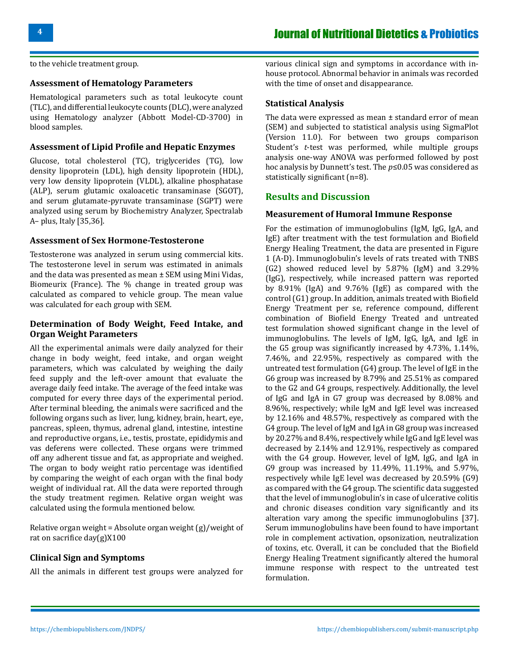to the vehicle treatment group.

### **Assessment of Hematology Parameters**

Hematological parameters such as total leukocyte count (TLC), and differential leukocyte counts (DLC), were analyzed using Hematology analyzer (Abbott Model-CD-3700) in blood samples.

#### **Assessment of Lipid Profile and Hepatic Enzymes**

Glucose, total cholesterol (TC), triglycerides (TG), low density lipoprotein (LDL), high density lipoprotein (HDL), very low density lipoprotein (VLDL), alkaline phosphatase (ALP), serum glutamic oxaloacetic transaminase (SGOT), and serum glutamate-pyruvate transaminase (SGPT) were analyzed using serum by Biochemistry Analyzer, Spectralab A– plus, Italy [35,36].

#### **Assessment of Sex Hormone-Testosterone**

Testosterone was analyzed in serum using commercial kits. The testosterone level in serum was estimated in animals and the data was presented as mean ± SEM using Mini Vidas, Biomeurix (France). The % change in treated group was calculated as compared to vehicle group. The mean value was calculated for each group with SEM.

### **Determination of Body Weight, Feed Intake, and Organ Weight Parameters**

All the experimental animals were daily analyzed for their change in body weight, feed intake, and organ weight parameters, which was calculated by weighing the daily feed supply and the left-over amount that evaluate the average daily feed intake. The average of the feed intake was computed for every three days of the experimental period. After terminal bleeding, the animals were sacrificed and the following organs such as liver, lung, kidney, brain, heart, eye, pancreas, spleen, thymus, adrenal gland, intestine, intestine and reproductive organs, i.e., testis, prostate, epididymis and vas deferens were collected. These organs were trimmed off any adherent tissue and fat, as appropriate and weighed. The organ to body weight ratio percentage was identified by comparing the weight of each organ with the final body weight of individual rat. All the data were reported through the study treatment regimen. Relative organ weight was calculated using the formula mentioned below.

Relative organ weight = Absolute organ weight (g)/weight of rat on sacrifice day(g)X100

#### **Clinical Sign and Symptoms**

All the animals in different test groups were analyzed for

various clinical sign and symptoms in accordance with inhouse protocol. Abnormal behavior in animals was recorded with the time of onset and disappearance.

#### **Statistical Analysis**

The data were expressed as mean ± standard error of mean (SEM) and subjected to statistical analysis using SigmaPlot (Version 11.0). For between two groups comparison Student's *t*-test was performed, while multiple groups analysis one-way ANOVA was performed followed by post hoc analysis by Dunnett's test. The *p*≤0.05 was considered as statistically significant (n=8).

# **Results and Discussion**

#### **Measurement of Humoral Immune Response**

For the estimation of immunoglobulins (IgM, IgG, IgA, and IgE) after treatment with the test formulation and Biofield Energy Healing Treatment, the data are presented in Figure 1 (A-D). Immunoglobulin's levels of rats treated with TNBS (G2) showed reduced level by 5.87% (IgM) and 3.29% (IgG), respectively, while increased pattern was reported by 8.91% (IgA) and 9.76% (IgE) as compared with the control (G1) group. In addition, animals treated with Biofield Energy Treatment per se, reference compound, different combination of Biofield Energy Treated and untreated test formulation showed significant change in the level of immunoglobulins. The levels of IgM, IgG, IgA, and IgE in the G5 group was significantly increased by 4.73%, 1.14%, 7.46%, and 22.95%, respectively as compared with the untreated test formulation (G4) group. The level of IgE in the G6 group was increased by 8.79% and 25.51% as compared to the G2 and G4 groups, respectively. Additionally, the level of IgG and IgA in G7 group was decreased by 8.08% and 8.96%, respectively; while IgM and IgE level was increased by 12.16% and 48.57%, respectively as compared with the G4 group. The level of IgM and IgA in G8 group was increased by 20.27% and 8.4%, respectively while IgG and IgE level was decreased by 2.14% and 12.91%, respectively as compared with the G4 group. However, level of IgM, IgG, and IgA in G9 group was increased by 11.49%, 11.19%, and 5.97%, respectively while IgE level was decreased by 20.59% (G9) as compared with the G4 group. The scientific data suggested that the level of immunoglobulin's in case of ulcerative colitis and chronic diseases condition vary significantly and its alteration vary among the specific immunoglobulins [37]. Serum immunoglobulins have been found to have important role in complement activation, opsonization, neutralization of toxins, etc. Overall, it can be concluded that the Biofield Energy Healing Treatment significantly altered the humoral immune response with respect to the untreated test formulation.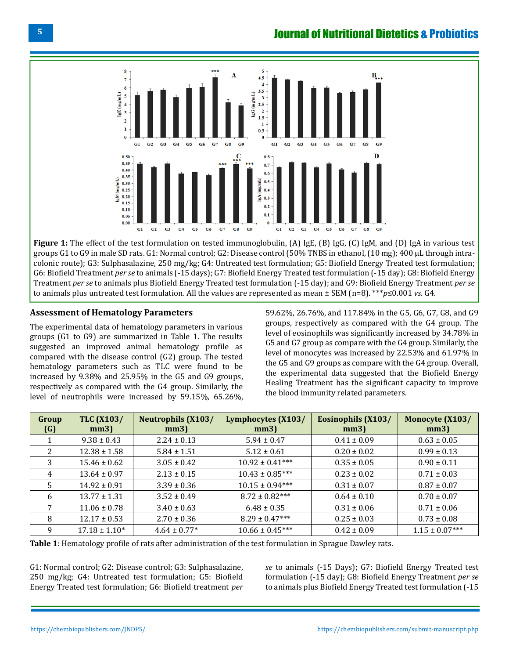

**Figure 1:** The effect of the test formulation on tested immunoglobulin, (A) IgE, (B) IgG, (C) IgM, and (D) IgA in various test groups G1 to G9 in male SD rats. G1: Normal control; G2: Disease control (50% TNBS in ethanol, (10 mg); 400 µL through intracolonic route); G3: Sulphasalazine, 250 mg/kg; G4: Untreated test formulation; G5: Biofield Energy Treated test formulation; G6: Biofield Treatment *per se* to animals (-15 days); G7: Biofield Energy Treated test formulation (-15 day); G8: Biofield Energy Treatment *per se* to animals plus Biofield Energy Treated test formulation (-15 day); and G9: Biofield Energy Treatment *per se*  to animals plus untreated test formulation. All the values are represented as mean ± SEM (n=8). \*\*\**p*≤0.001 *vs.* G4.

# **Assessment of Hematology Parameters**

The experimental data of hematology parameters in various groups (G1 to G9) are summarized in Table 1. The results suggested an improved animal hematology profile as compared with the disease control (G2) group. The tested hematology parameters such as TLC were found to be increased by 9.38% and 25.95% in the G5 and G9 groups, respectively as compared with the G4 group. Similarly, the level of neutrophils were increased by 59.15%, 65.26%,

59.62%, 26.76%, and 117.84% in the G5, G6, G7, G8, and G9 groups, respectively as compared with the G4 group. The level of eosinophils was significantly increased by 34.78% in G5 and G7 group as compare with the G4 group. Similarly, the level of monocytes was increased by 22.53% and 61.97% in the G5 and G9 groups as compare with the G4 group. Overall, the experimental data suggested that the Biofield Energy Healing Treatment has the significant capacity to improve the blood immunity related parameters.

| Group<br>(G) | <b>TLC (X103/</b><br>mm3) | <b>Neutrophils (X103/</b><br>mm3) | Lymphocytes (X103/<br>mm3) | Eosinophils (X103/<br>mm3) | Monocyte (X103/<br>mm3) |
|--------------|---------------------------|-----------------------------------|----------------------------|----------------------------|-------------------------|
| 1            | $9.38 \pm 0.43$           | $2.24 \pm 0.13$                   | $5.94 \pm 0.47$            | $0.41 \pm 0.09$            | $0.63 \pm 0.05$         |
| 2            | $12.38 \pm 1.58$          | $5.84 \pm 1.51$                   | $5.12 \pm 0.61$            | $0.20 \pm 0.02$            | $0.99 \pm 0.13$         |
| 3            | $15.46 \pm 0.62$          | $3.05 \pm 0.42$                   | $10.92 \pm 0.41***$        | $0.35 \pm 0.05$            | $0.90 \pm 0.11$         |
| 4            | $13.64 \pm 0.97$          | $2.13 \pm 0.15$                   | $10.43 \pm 0.85***$        | $0.23 \pm 0.02$            | $0.71 \pm 0.03$         |
| 5            | $14.92 \pm 0.91$          | $3.39 \pm 0.36$                   | $10.15 \pm 0.94***$        | $0.31 \pm 0.07$            | $0.87 \pm 0.07$         |
| 6            | $13.77 \pm 1.31$          | $3.52 \pm 0.49$                   | $8.72 \pm 0.82***$         | $0.64 \pm 0.10$            | $0.70 \pm 0.07$         |
| 7            | $11.06 \pm 0.78$          | $3.40 \pm 0.63$                   | $6.48 \pm 0.35$            | $0.31 \pm 0.06$            | $0.71 \pm 0.06$         |
| 8            | $12.17 \pm 0.53$          | $2.70 \pm 0.36$                   | $8.29 \pm 0.47***$         | $0.25 \pm 0.03$            | $0.73 \pm 0.08$         |
| 9            | $17.18 \pm 1.10*$         | $4.64 \pm 0.77*$                  | $10.66 \pm 0.45***$        | $0.42 \pm 0.09$            | $1.15 \pm 0.07***$      |

**Table 1**: Hematology profile of rats after administration of the test formulation in Sprague Dawley rats.

G1: Normal control; G2: Disease control; G3: Sulphasalazine, 250 mg/kg; G4: Untreated test formulation; G5: Biofield Energy Treated test formulation; G6: Biofield treatment *per*  *se* to animals (-15 Days); G7: Biofield Energy Treated test formulation (-15 day); G8: Biofield Energy Treatment *per se*  to animals plus Biofield Energy Treated test formulation (-15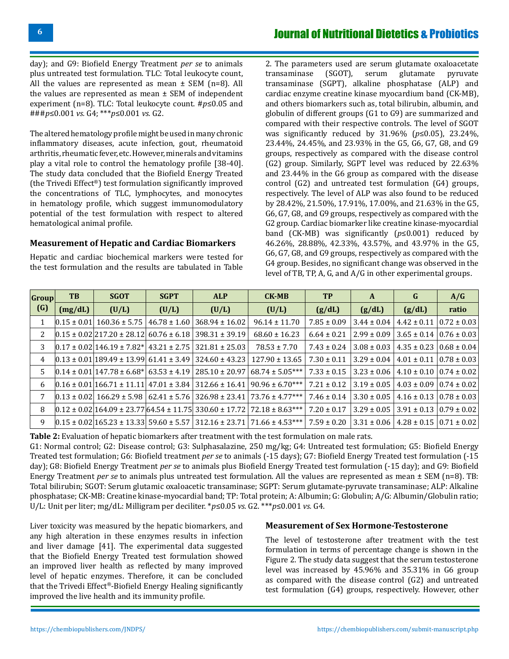day); and G9: Biofield Energy Treatment *per se* to animals plus untreated test formulation. TLC: Total leukocyte count, All the values are represented as mean  $\pm$  SEM (n=8). All the values are represented as mean ± SEM of independent experiment (n=8). TLC: Total leukocyte count. #*p*≤0.05 and ###*p*≤0.001 *vs.* G4; \*\*\**p*≤0.001 *vs.* G2.

The altered hematology profile might be used in many chronic inflammatory diseases, acute infection, gout, rheumatoid arthritis, rheumatic fever, etc. However, minerals and vitamins play a vital role to control the hematology profile [38-40]. The study data concluded that the Biofield Energy Treated (the Trivedi Effect®) test formulation significantly improved the concentrations of TLC, lymphocytes, and monocytes in hematology profile, which suggest immunomodulatory potential of the test formulation with respect to altered hematological animal profile.

### **Measurement of Hepatic and Cardiac Biomarkers**

Hepatic and cardiac biochemical markers were tested for the test formulation and the results are tabulated in Table

2. The parameters used are serum glutamate oxaloacetate transaminase (SGOT), serum glutamate pyruvate serum glutamate transaminase (SGPT), alkaline phosphatase (ALP) and cardiac enzyme creatine kinase myocardium band (CK-MB), and others biomarkers such as, total bilirubin, albumin, and globulin of different groups (G1 to G9) are summarized and compared with their respective controls. The level of SGOT was significantly reduced by 31.96% (*p*≤0.05), 23.24%, 23.44%, 24.45%, and 23.93% in the G5, G6, G7, G8, and G9 groups, respectively as compared with the disease control (G2) group. Similarly, SGPT level was reduced by 22.63% and 23.44% in the G6 group as compared with the disease control (G2) and untreated test formulation (G4) groups, respectively. The level of ALP was also found to be reduced by 28.42%, 21.50%, 17.91%, 17.00%, and 21.63% in the G5, G6, G7, G8, and G9 groups, respectively as compared with the G2 group. Cardiac biomarker like creatine kinase-myocardial band (CK-MB) was significantly (*p*≤0.001) reduced by 46.26%, 28.88%, 42.33%, 43.57%, and 43.97% in the G5, G6, G7, G8, and G9 groups, respectively as compared with the G4 group. Besides, no significant change was observed in the level of TB, TP, A, G, and A/G in other experimental groups.

| Group<br>(G) | <b>TB</b>         | <b>SGOT</b>                                             | <b>SGPT</b>      | <b>ALP</b>                                                     | $CK-MB$                                                                                              | <b>TP</b>       | A               | G                                                   | A/G              |
|--------------|-------------------|---------------------------------------------------------|------------------|----------------------------------------------------------------|------------------------------------------------------------------------------------------------------|-----------------|-----------------|-----------------------------------------------------|------------------|
|              | (mg/dL)           | (U/L)                                                   | (U/L)            | (U/L)                                                          | (U/L)                                                                                                | (g/dL)          | (g/dL)          | (g/dL)                                              | ratio            |
|              | $[0.15 \pm 0.01]$ | $160.36 \pm 5.75$                                       | $46.78 \pm 1.60$ | $368.94 \pm 16.02$                                             | $96.14 \pm 11.70$                                                                                    | $7.85 \pm 0.09$ | $3.44 \pm 0.04$ | $4.42 \pm 0.11$   0.72 $\pm$ 0.03                   |                  |
| 2            |                   | $[0.15 \pm 0.02]$ 217.20 $\pm$ 28.12 60.76 $\pm$ 6.18   |                  | $398.31 \pm 39.19$                                             | $68.60 \pm 16.23$                                                                                    | $6.64 \pm 0.21$ | $2.99 \pm 0.09$ | $3.65 \pm 0.14 \mid 0.76 \pm 0.03 \mid$             |                  |
| 3            |                   | $[0.17 \pm 0.02]$ 146.19 $\pm$ 7.82*   43.21 $\pm$ 2.75 |                  | $321.81 \pm 25.03$                                             | $78.53 \pm 7.70$                                                                                     | $7.43 \pm 0.24$ | $3.08 \pm 0.03$ | $4.35 \pm 0.23 \, \times 0.68 \pm 0.04$             |                  |
| 4            |                   | $[0.13 \pm 0.01]$ 189.49 ± 13.99 61.41 ± 3.49           |                  | $324.60 \pm 43.23$                                             | $127.90 \pm 13.65$                                                                                   | $7.30 \pm 0.11$ | $3.29 \pm 0.04$ | $4.01 \pm 0.11$   0.78 $\pm$ 0.03                   |                  |
| 5.           |                   | $ 0.14 \pm 0.01 147.78 \pm 6.68* 63.53 \pm 4.19 $       |                  | $285.10 \pm 20.97$                                             | $68.74 \pm 5.05***$                                                                                  | $7.33 \pm 0.15$ | $3.23 \pm 0.06$ | $4.10 \pm 0.10$   0.74 $\pm$ 0.02                   |                  |
| 6            |                   |                                                         |                  | $[0.16 \pm 0.01]$ 166.71 ± 11.11 47.01 ± 3.84   312.66 ± 16.41 | $90.96 \pm 6.70***$                                                                                  | $7.21 \pm 0.12$ | $3.19 \pm 0.05$ | $4.03 \pm 0.09$   0.74 $\pm$ 0.02                   |                  |
|              |                   | $ 0.13 \pm 0.02 $ 166.29 $\pm$ 5.98                     | $62.41 \pm 5.76$ | $326.98 \pm 23.41$                                             | $73.76 \pm 4.77***$                                                                                  | $7.46 \pm 0.14$ | $3.30 \pm 0.05$ | $4.16 \pm 0.13 \pm 0.78 \pm 0.03$                   |                  |
| 8            |                   |                                                         |                  |                                                                | $[0.12 \pm 0.02]$ 164.09 ± 23.77 $[64.54 \pm 11.75]$ 330.60 ± 17.72 $[72.18 \pm 8.63$ <sup>***</sup> | $7.20 \pm 0.17$ | $3.29 \pm 0.05$ | $3.91 \pm 0.13$                                     | $10.79 \pm 0.02$ |
| 9            |                   |                                                         |                  |                                                                | $[0.15 \pm 0.02]$ 165.23 ± 13.33 59.60 ± 5.57 312.16 ± 23.71 71.66 ± 4.53***                         | $7.59 \pm 0.20$ |                 | $3.31 \pm 0.06$   $4.28 \pm 0.15$   $0.71 \pm 0.02$ |                  |

**Table 2:** Evaluation of hepatic biomarkers after treatment with the test formulation on male rats.

G1: Normal control; G2: Disease control; G3: Sulphasalazine, 250 mg/kg; G4: Untreated test formulation; G5: Biofield Energy Treated test formulation; G6: Biofield treatment *per se* to animals (-15 days); G7: Biofield Energy Treated test formulation (-15 day); G8: Biofield Energy Treatment *per se* to animals plus Biofield Energy Treated test formulation (-15 day); and G9: Biofield Energy Treatment *per se* to animals plus untreated test formulation. All the values are represented as mean ± SEM (n=8). TB: Total bilirubin; SGOT: Serum glutamic oxaloacetic transaminase; SGPT: Serum glutamate-pyruvate transaminase; ALP: Alkaline phosphatase; CK-MB: Creatine kinase-myocardial band; TP: Total protein; A: Albumin; G: Globulin; A/G: Albumin/Globulin ratio; U/L: Unit per liter; mg/dL: Milligram per deciliter. \**p*≤0.05 *vs.* G2. \*\*\**p*≤0.001 *vs.* G4.

Liver toxicity was measured by the hepatic biomarkers, and any high alteration in these enzymes results in infection and liver damage [41]. The experimental data suggested that the Biofield Energy Treated test formulation showed an improved liver health as reflected by many improved level of hepatic enzymes. Therefore, it can be concluded that the Trivedi Effect®-Biofield Energy Healing significantly improved the live health and its immunity profile.

### **Measurement of Sex Hormone-Testosterone**

The level of testosterone after treatment with the test formulation in terms of percentage change is shown in the Figure 2. The study data suggest that the serum testosterone level was increased by 45.96% and 35.31% in G6 group as compared with the disease control (G2) and untreated test formulation (G4) groups, respectively. However, other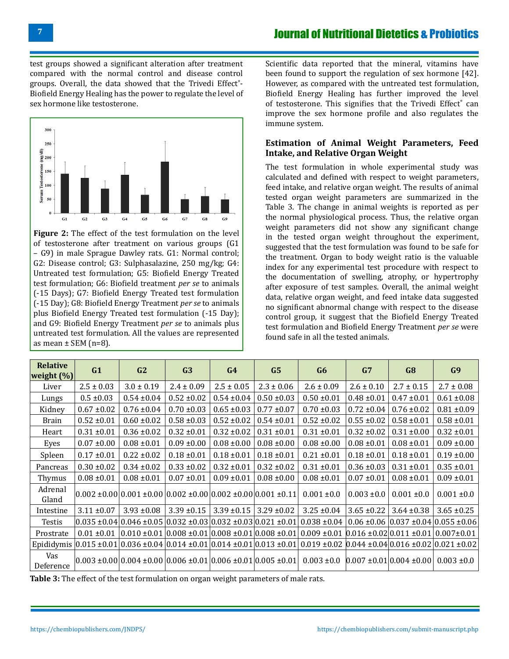test groups showed a significant alteration after treatment compared with the normal control and disease control groups. Overall, the data showed that the Trivedi Effect®-Biofield Energy Healing has the power to regulate the level of sex hormone like testosterone.



**Figure 2:** The effect of the test formulation on the level of testosterone after treatment on various groups (G1 – G9) in male Sprague Dawley rats. G1: Normal control; G2: Disease control; G3: Sulphasalazine, 250 mg/kg; G4: Untreated test formulation; G5: Biofield Energy Treated test formulation; G6: Biofield treatment *per se* to animals (-15 Days); G7: Biofield Energy Treated test formulation (-15 Day); G8: Biofield Energy Treatment *per se* to animals plus Biofield Energy Treated test formulation (-15 Day); and G9: Biofield Energy Treatment *per se* to animals plus untreated test formulation. All the values are represented as mean  $\pm$  SEM (n=8).

Scientific data reported that the mineral, vitamins have been found to support the regulation of sex hormone [42]. However, as compared with the untreated test formulation, Biofield Energy Healing has further improved the level of testosterone. This signifies that the Trivedi Effect<sup>®</sup> can improve the sex hormone profile and also regulates the immune system.

# **Estimation of Animal Weight Parameters, Feed Intake, and Relative Organ Weight**

The test formulation in whole experimental study was calculated and defined with respect to weight parameters, feed intake, and relative organ weight. The results of animal tested organ weight parameters are summarized in the Table 3. The change in animal weights is reported as per the normal physiological process. Thus, the relative organ weight parameters did not show any significant change in the tested organ weight throughout the experiment, suggested that the test formulation was found to be safe for the treatment. Organ to body weight ratio is the valuable index for any experimental test procedure with respect to the documentation of swelling, atrophy, or hypertrophy after exposure of test samples. Overall, the animal weight data, relative organ weight, and feed intake data suggested no significant abnormal change with respect to the disease control group, it suggest that the Biofield Energy Treated test formulation and Biofield Energy Treatment *per se* were found safe in all the tested animals.

| <b>Relative</b><br>weight $(\%)$ | G1              | G2                                                                                                       | G <sub>3</sub>  | G4              | G5              | G6                                                                     | G7              | G8                                                          | G <sub>9</sub>  |
|----------------------------------|-----------------|----------------------------------------------------------------------------------------------------------|-----------------|-----------------|-----------------|------------------------------------------------------------------------|-----------------|-------------------------------------------------------------|-----------------|
| Liver                            | $2.5 \pm 0.03$  | $3.0 \pm 0.19$                                                                                           | $2.4 \pm 0.09$  | $2.5 \pm 0.05$  | $2.3 \pm 0.06$  | $2.6 \pm 0.09$                                                         | $2.6 \pm 0.10$  | $2.7 \pm 0.15$                                              | $2.7 \pm 0.08$  |
| Lungs                            | $0.5 \pm 0.03$  | $0.54 \pm 0.04$                                                                                          | $0.52 \pm 0.02$ | $0.54 \pm 0.04$ | $0.50 \pm 0.03$ | $0.50 \pm 0.01$                                                        | $0.48 \pm 0.01$ | $0.47 \pm 0.01$                                             | $0.61 \pm 0.08$ |
| Kidney                           | $0.67 \pm 0.02$ | $0.76 \pm 0.04$                                                                                          | $0.70 \pm 0.03$ | $0.65 \pm 0.03$ | $0.77 \pm 0.07$ | $0.70 \pm 0.03$                                                        | $0.72 \pm 0.04$ | $0.76 \pm 0.02$                                             | $0.81 \pm 0.09$ |
| <b>Brain</b>                     | $0.52 \pm 0.01$ | $0.60 \pm 0.02$                                                                                          | $0.58 \pm 0.03$ | $0.52 \pm 0.02$ | $0.54 \pm 0.01$ | $0.52 \pm 0.02$                                                        | $0.55 \pm 0.02$ | $0.58 \pm 0.01$                                             | $0.58 \pm 0.01$ |
| Heart                            | $0.31 \pm 0.01$ | $0.36 \pm 0.02$                                                                                          | $0.32 \pm 0.01$ | $0.32 \pm 0.02$ | $0.31 \pm 0.01$ | $0.31 \pm 0.01$                                                        | $0.32 \pm 0.02$ | $0.31 \pm 0.00$                                             | $0.32 \pm 0.01$ |
| Eyes                             | $0.07 \pm 0.00$ | $0.08 \pm 0.01$                                                                                          | $0.09 \pm 0.00$ | $0.08 \pm 0.00$ | $0.08 \pm 0.00$ | $0.08 \pm 0.00$                                                        | $0.08 \pm 0.01$ | $0.08 \pm 0.01$                                             | $0.09 \pm 0.00$ |
| Spleen                           | $0.17 \pm 0.01$ | $0.22 \pm 0.02$                                                                                          | $0.18 \pm 0.01$ | $0.18 \pm 0.01$ | $0.18 \pm 0.01$ | $0.21 \pm 0.01$                                                        | $0.18 \pm 0.01$ | $0.18 \pm 0.01$                                             | $0.19 \pm 0.00$ |
| Pancreas                         | $0.30 \pm 0.02$ | $0.34 \pm 0.02$                                                                                          | $0.33 \pm 0.02$ | $0.32 \pm 0.01$ | $0.32 \pm 0.02$ | $0.31 \pm 0.01$                                                        | $0.36 \pm 0.03$ | $0.31 \pm 0.01$                                             | $0.35 \pm 0.01$ |
| Thymus                           | $0.08 \pm 0.01$ | $0.08 \pm 0.01$                                                                                          | $0.07 \pm 0.01$ | $0.09 \pm 0.01$ | $0.08 \pm 0.00$ | $0.08 \pm 0.01$                                                        | $0.07 \pm 0.01$ | $0.08 \pm 0.01$                                             | $0.09 \pm 0.01$ |
| Adrenal<br>Gland                 |                 | $0.002 \pm 0.000001 \pm 0.000002 \pm 0.0000002 \pm 0.0000001 \pm 0.11$                                   |                 |                 |                 | $0.001 \pm 0.0$                                                        | $0.003 \pm 0.0$ | $0.001 \pm 0.0$                                             | $0.001 \pm 0.0$ |
| Intestine                        | $3.11 \pm 0.07$ | $3.93 \pm 0.08$                                                                                          | $3.39 \pm 0.15$ | $3.39 \pm 0.15$ | $3.29 \pm 0.02$ | $3.25 \pm 0.04$                                                        | $3.65 \pm 0.22$ | $3.64 \pm 0.38$                                             | $3.65 \pm 0.25$ |
| Testis                           |                 | $0.035 \pm 0.04 \times 0.046 \pm 0.05 \times 0.032 \pm 0.03 \times 0.032 \pm 0.03 \times 0.021 \pm 0.01$ |                 |                 |                 | $0.038 \pm 0.04$                                                       |                 | $0.06 \pm 0.06 \times 0.037 \pm 0.04 \times 0.055 \pm 0.06$ |                 |
| Prostrate                        | $0.01 \pm 0.01$ | $0.010 \pm 0.01   0.008 \pm 0.01   0.008 \pm 0.01   0.008 \pm 0.01  $                                    |                 |                 |                 | $0.009 \pm 0.01$ $0.016 \pm 0.02$ $0.011 \pm 0.01$ $0.007 \pm 0.01$    |                 |                                                             |                 |
|                                  |                 | Epididymis $ 0.015 \pm 0.01 0.036 \pm 0.04 0.014 \pm 0.01 0.014 \pm 0.01 0.013 \pm 0.01 $                |                 |                 |                 | $0.019 \pm 0.02 \,   0.044 \pm 0.04   0.016 \pm 0.02   0.021 \pm 0.02$ |                 |                                                             |                 |
| Vas<br>Deference                 |                 | $0.003 \pm 0.00   0.004 \pm 0.00   0.006 \pm 0.01   0.006 \pm 0.01   0.005 \pm 0.01  $                   |                 |                 |                 | $0.003 \pm 0.0$                                                        |                 | $[0.007 \pm 0.01] 0.004 \pm 0.00]$                          | $0.003 \pm 0.0$ |

**Table 3:** The effect of the test formulation on organ weight parameters of male rats.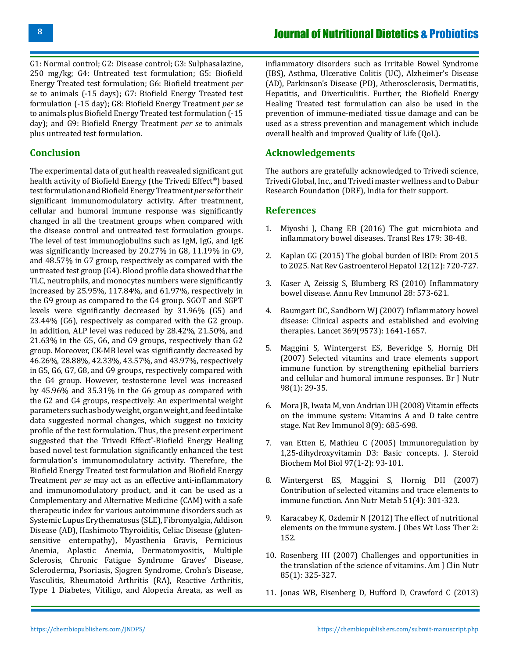G1: Normal control; G2: Disease control; G3: Sulphasalazine, 250 mg/kg; G4: Untreated test formulation; G5: Biofield Energy Treated test formulation; G6: Biofield treatment *per se* to animals (-15 days); G7: Biofield Energy Treated test formulation (-15 day); G8: Biofield Energy Treatment *per se*  to animals plus Biofield Energy Treated test formulation (-15 day); and G9: Biofield Energy Treatment *per se* to animals plus untreated test formulation.

# **Conclusion**

The experimental data of gut health reavealed significant gut health activity of Biofield Energy (the Trivedi Effect®) based test formulation and Biofield Energy Treatment *per se* for their significant immunomodulatory activity. After treatmnent, cellular and humoral immune response was significantly changed in all the treatment groups when compared with the disease control and untreated test formulation groups. The level of test immunoglobulins such as IgM, IgG, and IgE was significantly increased by 20.27% in G8, 11.19% in G9, and 48.57% in G7 group, respectively as compared with the untreated test group (G4). Blood profile data showed that the TLC, neutrophils, and monocytes numbers were significantly increased by 25.95%, 117.84%, and 61.97%, respectively in the G9 group as compared to the G4 group. SGOT and SGPT levels were significantly decreased by 31.96% (G5) and 23.44% (G6), respectively as compared with the G2 group. In addition, ALP level was reduced by 28.42%, 21.50%, and 21.63% in the G5, G6, and G9 groups, respectively than G2 group. Moreover, CK-MB level was significantly decreased by 46.26%, 28.88%, 42.33%, 43.57%, and 43.97%, respectively in G5, G6, G7, G8, and G9 groups, respectively compared with the G4 group. However, testosterone level was increased by 45.96% and 35.31% in the G6 group as compared with the G2 and G4 groups, respectively. An experimental weight parameters such as body weight, organ weight, and feed intake data suggested normal changes, which suggest no toxicity profile of the test formulation. Thus, the present experiment suggested that the Trivedi Effect®-Biofield Energy Healing based novel test formulation significantly enhanced the test formulation's immunomodulatory activity. Therefore, the Biofield Energy Treated test formulation and Biofield Energy Treatment *per se* may act as an effective anti-inflammatory and immunomodulatory product, and it can be used as a Complementary and Alternative Medicine (CAM) with a safe therapeutic index for various autoimmune disorders such as Systemic Lupus Erythematosus (SLE), Fibromyalgia, Addison Disease (AD), Hashimoto Thyroiditis, Celiac Disease (glutensensitive enteropathy), Myasthenia Gravis, Pernicious Anemia, Aplastic Anemia, Dermatomyositis, Multiple Sclerosis, Chronic Fatigue Syndrome Graves' Disease, Scleroderma, Psoriasis, Sjogren Syndrome, Crohn's Disease, Vasculitis, Rheumatoid Arthritis (RA), Reactive Arthritis, Type 1 Diabetes, Vitiligo, and Alopecia Areata, as well as

inflammatory disorders such as Irritable Bowel Syndrome (IBS), Asthma, Ulcerative Colitis (UC), Alzheimer's Disease (AD), Parkinson's Disease (PD), Atherosclerosis, Dermatitis, Hepatitis, and Diverticulitis. Further, the Biofield Energy Healing Treated test formulation can also be used in the prevention of immune-mediated tissue damage and can be used as a stress prevention and management which include overall health and improved Quality of Life (QoL).

# **Acknowledgements**

The authors are gratefully acknowledged to Trivedi science, Trivedi Global, Inc., and Trivedi master wellness and to Dabur Research Foundation (DRF), India for their support.

# **References**

- 1. [Miyoshi J, Chang EB \(2016\) The gut microbiota and](https://pubmed.ncbi.nlm.nih.gov/27371886/)  [inflammatory bowel diseases. Transl Res 179: 38-48.](https://pubmed.ncbi.nlm.nih.gov/27371886/)
- 2. [Kaplan GG \(2015\) The global burden of IBD: From 2015](https://pubmed.ncbi.nlm.nih.gov/26323879/) [to 2025. Nat Rev Gastroenterol Hepatol 12\(12\): 720-727.](https://pubmed.ncbi.nlm.nih.gov/26323879/)
- 3. [Kaser A, Zeissig S, Blumberg RS \(2010\) Inflammatory](https://pubmed.ncbi.nlm.nih.gov/20192811/) [bowel disease. Annu Rev Immunol 28: 573-621.](https://pubmed.ncbi.nlm.nih.gov/20192811/)
- 4. [Baumgart DC, Sandborn WJ \(2007\) Inflammatory bowel](https://pubmed.ncbi.nlm.nih.gov/17499606/)  [disease: Clinical aspects and established and evolving](https://pubmed.ncbi.nlm.nih.gov/17499606/) [therapies. Lancet 369\(9573\): 1641-1657.](https://pubmed.ncbi.nlm.nih.gov/17499606/)
- 5. [Maggini S, Wintergerst ES, Beveridge S, Hornig DH](https://pubmed.ncbi.nlm.nih.gov/17922955/) [\(2007\) Selected vitamins and trace elements support](https://pubmed.ncbi.nlm.nih.gov/17922955/) [immune function by strengthening epithelial barriers](https://pubmed.ncbi.nlm.nih.gov/17922955/) [and cellular and humoral immune responses. Br J Nutr](https://pubmed.ncbi.nlm.nih.gov/17922955/)  [98\(1\): 29-35.](https://pubmed.ncbi.nlm.nih.gov/17922955/)
- 6. [Mora JR, Iwata M, von Andrian UH \(2008\) Vitamin effects](https://pubmed.ncbi.nlm.nih.gov/19172691/)  [on the immune system: Vitamins A and D take centre](https://pubmed.ncbi.nlm.nih.gov/19172691/)  [stage. Nat Rev Immunol 8\(9\): 685-698.](https://pubmed.ncbi.nlm.nih.gov/19172691/)
- 7. [van Etten E, Mathieu C \(2005\) Immunoregulation by](https://pubmed.ncbi.nlm.nih.gov/16046118/)  [1,25-dihydroxyvitamin D3: Basic concepts. J. Steroid](https://pubmed.ncbi.nlm.nih.gov/16046118/) [Biochem Mol Biol 97\(1-2\): 93-101.](https://pubmed.ncbi.nlm.nih.gov/16046118/)
- 8. [Wintergerst ES, Maggini S, Hornig DH \(2007\)](https://pubmed.ncbi.nlm.nih.gov/17726308/) [Contribution of selected vitamins and trace elements to](https://pubmed.ncbi.nlm.nih.gov/17726308/)  [immune function. Ann Nutr Metab 51\(4\): 301‐323.](https://pubmed.ncbi.nlm.nih.gov/17726308/)
- 9. [Karacabey K, Ozdemir N \(2012\) The effect of nutritional](https://www.omicsonline.org/open-access/the-effect-of-nutritional-elements-on-the-immune-system-2165-7904.1000152.php?aid=10186)  [elements on the immune system. J Obes Wt Loss Ther 2:](https://www.omicsonline.org/open-access/the-effect-of-nutritional-elements-on-the-immune-system-2165-7904.1000152.php?aid=10186)  [152.](https://www.omicsonline.org/open-access/the-effect-of-nutritional-elements-on-the-immune-system-2165-7904.1000152.php?aid=10186)
- 10. [Rosenberg IH \(2007\) Challenges and opportunities in](https://academic.oup.com/ajcn/article/85/1/325S/4649506?login=true) [the translation of the science of vitamins. Am J Clin Nutr](https://academic.oup.com/ajcn/article/85/1/325S/4649506?login=true)  [85\(1\): 325-327.](https://academic.oup.com/ajcn/article/85/1/325S/4649506?login=true)
- 11. [Jonas WB, Eisenberg D, Hufford D, Crawford C \(2013\)](https://pubmed.ncbi.nlm.nih.gov/23727764/)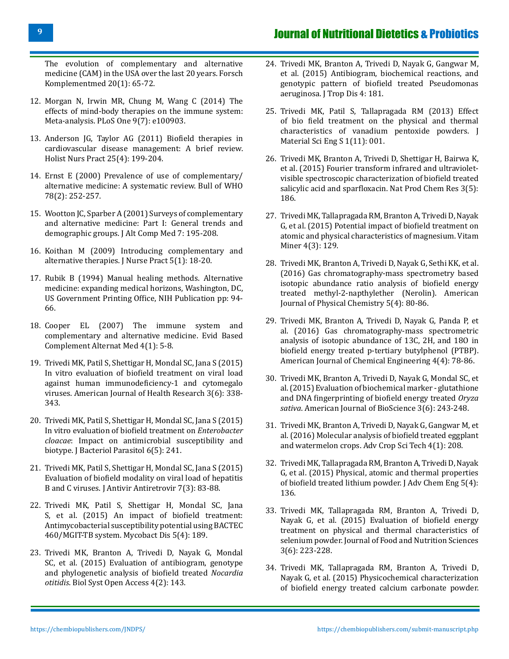[The evolution of complementary and alternative](https://pubmed.ncbi.nlm.nih.gov/23727764/) [medicine \(CAM\) in the USA over the last 20 years. Forsch](https://pubmed.ncbi.nlm.nih.gov/23727764/) [Komplementmed 20\(1\): 65-72.](https://pubmed.ncbi.nlm.nih.gov/23727764/)

- 12. [Morgan N, Irwin MR, Chung M, Wang C \(2014\) The](https://pubmed.ncbi.nlm.nih.gov/24988414/) [effects of mind-body therapies on the immune system:](https://pubmed.ncbi.nlm.nih.gov/24988414/) [Meta-analysis. PLoS One 9\(7\): e100903.](https://pubmed.ncbi.nlm.nih.gov/24988414/)
- 13. [Anderson JG, Taylor AG \(2011\) Biofield therapies in](https://pubmed.ncbi.nlm.nih.gov/21697661/) [cardiovascular disease management: A brief review.](https://pubmed.ncbi.nlm.nih.gov/21697661/) [Holist Nurs Pract 25\(4\): 199-204.](https://pubmed.ncbi.nlm.nih.gov/21697661/)
- 14. [Ernst E \(2000\) Prevalence of use of complementary/](https://pubmed.ncbi.nlm.nih.gov/10743298/) [alternative medicine: A systematic review. Bull of WHO](https://pubmed.ncbi.nlm.nih.gov/10743298/) [78\(2\): 252-257.](https://pubmed.ncbi.nlm.nih.gov/10743298/)
- 15. Wootton JC, Sparber A (2001) Surveys of complementary and alternative medicine: Part I: General trends and demographic groups. J Alt Comp Med 7: 195-208.
- 16. [Koithan M \(2009\) Introducing complementary and](https://www.ncbi.nlm.nih.gov/pmc/articles/PMC2754854/) [alternative therapies. J Nurse Pract 5\(1\): 18-20.](https://www.ncbi.nlm.nih.gov/pmc/articles/PMC2754854/)
- 17. [Rubik B \(1994\) Manual healing methods. Alternative](https://chiro.org/alt_med_abstracts/FULL/Expanding_Medical_Horizons_UPDATE/Manual_Healing.shtml) [medicine: expanding medical horizons, Washington, DC,](https://chiro.org/alt_med_abstracts/FULL/Expanding_Medical_Horizons_UPDATE/Manual_Healing.shtml) [US Government Printing Office, NIH Publication pp: 94-](https://chiro.org/alt_med_abstracts/FULL/Expanding_Medical_Horizons_UPDATE/Manual_Healing.shtml) [66.](https://chiro.org/alt_med_abstracts/FULL/Expanding_Medical_Horizons_UPDATE/Manual_Healing.shtml)
- 18. [Cooper EL \(2007\) The immune system and](https://www.ncbi.nlm.nih.gov/pmc/articles/PMC2206233/) [complementary and alternative medicine. Evid Based](https://www.ncbi.nlm.nih.gov/pmc/articles/PMC2206233/) [Complement Alternat Med 4\(1\): 5-8.](https://www.ncbi.nlm.nih.gov/pmc/articles/PMC2206233/)
- 19. [Trivedi MK, Patil S, Shettigar H, Mondal SC, Jana S \(2015\)](https://hal.archives-ouvertes.fr/hal-01467021) [In vitro evaluation of biofield treatment on viral load](https://hal.archives-ouvertes.fr/hal-01467021) [against human immunodeficiency-1 and cytomegalo](https://hal.archives-ouvertes.fr/hal-01467021) [viruses. American Journal of Health Research 3\(6\): 338-](https://hal.archives-ouvertes.fr/hal-01467021) [343.](https://hal.archives-ouvertes.fr/hal-01467021)
- 20. [Trivedi MK, Patil S, Shettigar H, Mondal SC, Jana S \(2015\)](https://www.longdom.org/open-access/in-vitro-evaluation-of-biofield-treatment-on-enterobacter-cloacae-impact-onantimicrobial-susceptibility-and-biotype-2155-9597-1000241.pdf) [In vitro evaluation of biofield treatment on](https://www.longdom.org/open-access/in-vitro-evaluation-of-biofield-treatment-on-enterobacter-cloacae-impact-onantimicrobial-susceptibility-and-biotype-2155-9597-1000241.pdf) *Enterobacter cloacae*[: Impact on antimicrobial susceptibility and](https://www.longdom.org/open-access/in-vitro-evaluation-of-biofield-treatment-on-enterobacter-cloacae-impact-onantimicrobial-susceptibility-and-biotype-2155-9597-1000241.pdf) [biotype. J Bacteriol Parasitol 6\(5\): 241.](https://www.longdom.org/open-access/in-vitro-evaluation-of-biofield-treatment-on-enterobacter-cloacae-impact-onantimicrobial-susceptibility-and-biotype-2155-9597-1000241.pdf)
- 21. Trivedi MK, Patil S, Shettigar H, Mondal SC, Jana S (2015) Evaluation of biofield modality on viral load of hepatitis B and C viruses. J Antivir Antiretrovir 7(3): 83-88.
- 22. [Trivedi MK, Patil S, Shettigar H, Mondal SC, Jana](https://www.longdom.org/open-access/an-impact-of-biofield-treatment-antimycobacterial-susceptibility-potential-using-bactec-460mgittb-systemhttps:/www.longdom.org/open-access/an-impact-of-biofield-treatment-antimycobacterial-susceptibility-potential-using-bactec-460mgittb-system) [S, et al. \(2015\) An impact of biofield treatment:](https://www.longdom.org/open-access/an-impact-of-biofield-treatment-antimycobacterial-susceptibility-potential-using-bactec-460mgittb-systemhttps:/www.longdom.org/open-access/an-impact-of-biofield-treatment-antimycobacterial-susceptibility-potential-using-bactec-460mgittb-system) [Antimycobacterial susceptibility potential using BACTEC](https://www.longdom.org/open-access/an-impact-of-biofield-treatment-antimycobacterial-susceptibility-potential-using-bactec-460mgittb-systemhttps:/www.longdom.org/open-access/an-impact-of-biofield-treatment-antimycobacterial-susceptibility-potential-using-bactec-460mgittb-system) [460/MGIT-TB system. Mycobact Dis 5\(4\): 189.](https://www.longdom.org/open-access/an-impact-of-biofield-treatment-antimycobacterial-susceptibility-potential-using-bactec-460mgittb-systemhttps:/www.longdom.org/open-access/an-impact-of-biofield-treatment-antimycobacterial-susceptibility-potential-using-bactec-460mgittb-system)
- 23. [Trivedi MK, Branton A, Trivedi D, Nayak G, Mondal](https://www.longdom.org/open-access/evaluation-of-antibiogram-genotype-and-phylogenetic-analysis-of-biofield-treated-nocardia-otitidis) [SC, et al. \(2015\) Evaluation of antibiogram, genotype](https://www.longdom.org/open-access/evaluation-of-antibiogram-genotype-and-phylogenetic-analysis-of-biofield-treated-nocardia-otitidis) [and phylogenetic analysis of biofield treated](https://www.longdom.org/open-access/evaluation-of-antibiogram-genotype-and-phylogenetic-analysis-of-biofield-treated-nocardia-otitidis) *Nocardia otitidis*[. Biol Syst Open Access 4\(2\): 143](https://www.longdom.org/open-access/evaluation-of-antibiogram-genotype-and-phylogenetic-analysis-of-biofield-treated-nocardia-otitidis).
- 24. Trivedi MK, Branton A, Trivedi D, Nayak G, Gangwar M, et al. (2015) Antibiogram, biochemical reactions, and genotypic pattern of biofield treated Pseudomonas aeruginosa. J Trop Dis 4: 181.
- 25. [Trivedi MK, Patil S, Tallapragada RM \(2013\) Effect](https://hal.archives-ouvertes.fr/hal-01505456/document)  [of bio field treatment on the physical and thermal](https://hal.archives-ouvertes.fr/hal-01505456/document)  [characteristics of vanadium pentoxide powders. J](https://hal.archives-ouvertes.fr/hal-01505456/document)  [Material Sci Eng S 1\(11\): 001.](https://hal.archives-ouvertes.fr/hal-01505456/document)
- 26. [Trivedi MK, Branton A, Trivedi D, Shettigar H, Bairwa K,](https://www.longdom.org/open-access/fourier-transform-infrared-and-ultravioletvisible-spectroscopiccharacterization-of-biofield-treated-salicylic-acid-and-sparfloxacin)  [et al. \(2015\) Fourier transform infrared and ultraviolet](https://www.longdom.org/open-access/fourier-transform-infrared-and-ultravioletvisible-spectroscopiccharacterization-of-biofield-treated-salicylic-acid-and-sparfloxacin)[visible spectroscopic characterization of biofield treated](https://www.longdom.org/open-access/fourier-transform-infrared-and-ultravioletvisible-spectroscopiccharacterization-of-biofield-treated-salicylic-acid-and-sparfloxacin) [salicylic acid and sparfloxacin. Nat Prod Chem Res 3\(5\):](https://www.longdom.org/open-access/fourier-transform-infrared-and-ultravioletvisible-spectroscopiccharacterization-of-biofield-treated-salicylic-acid-and-sparfloxacin) [186.](https://www.longdom.org/open-access/fourier-transform-infrared-and-ultravioletvisible-spectroscopiccharacterization-of-biofield-treated-salicylic-acid-and-sparfloxacin)
- 27. [Trivedi MK, Tallapragada RM, Branton A, Trivedi D, Nayak](https://www.hilarispublisher.com/open-access/potential-impact-of-biofield-treatment-on-atomic-and-physical-characteristics-of-magnesium)  [G, et al. \(2015\) Potential impact of biofield treatment on](https://www.hilarispublisher.com/open-access/potential-impact-of-biofield-treatment-on-atomic-and-physical-characteristics-of-magnesium)  [atomic and physical characteristics of magnesium. Vitam](https://www.hilarispublisher.com/open-access/potential-impact-of-biofield-treatment-on-atomic-and-physical-characteristics-of-magnesium)  [Miner 4\(3\): 129.](https://www.hilarispublisher.com/open-access/potential-impact-of-biofield-treatment-on-atomic-and-physical-characteristics-of-magnesium)
- 28. [Trivedi MK, Branton A, Trivedi D, Nayak G, Sethi KK, et al.](https://hal.archives-ouvertes.fr/hal-01384463/)  [\(2016\) Gas chromatography-mass spectrometry based](https://hal.archives-ouvertes.fr/hal-01384463/) [isotopic abundance ratio analysis of biofield energy](https://hal.archives-ouvertes.fr/hal-01384463/)  [treated methyl-2-napthylether \(Nerolin\). American](https://hal.archives-ouvertes.fr/hal-01384463/) [Journal of Physical Chemistry 5\(4\): 80-86.](https://hal.archives-ouvertes.fr/hal-01384463/)
- 29. [Trivedi MK, Branton A, Trivedi D, Nayak G, Panda P, et](https://hal.archives-ouvertes.fr/hal-01382383) [al. \(2016\) Gas chromatography-mass spectrometric](https://hal.archives-ouvertes.fr/hal-01382383) [analysis of isotopic abundance of 13C, 2H, and 18O in](https://hal.archives-ouvertes.fr/hal-01382383) [biofield energy treated p-tertiary butylphenol \(PTBP\).](https://hal.archives-ouvertes.fr/hal-01382383) [American Journal of Chemical Engineering 4\(4\): 78-86.](https://hal.archives-ouvertes.fr/hal-01382383)
- 30. [Trivedi MK, Branton A, Trivedi D, Nayak G, Mondal SC, et](http://www.sciencepublishinggroup.com/journal/paperinfo?journalid=219&doi=10.11648/j.ajbio.20150306.16)  [al. \(2015\) Evaluation of biochemical marker - glutathione](http://www.sciencepublishinggroup.com/journal/paperinfo?journalid=219&doi=10.11648/j.ajbio.20150306.16)  [and DNA fingerprinting of biofield energy treated](http://www.sciencepublishinggroup.com/journal/paperinfo?journalid=219&doi=10.11648/j.ajbio.20150306.16) *Oryza sativa*[. American Journal of BioScience 3\(6\): 243-248.](http://www.sciencepublishinggroup.com/journal/paperinfo?journalid=219&doi=10.11648/j.ajbio.20150306.16)
- 31. [Trivedi MK, Branton A, Trivedi D, Nayak G, Gangwar M, et](https://www.omicsonline.org/open-access/molecular-analysis-of-biofield-treated-eggplant-and-watermelon-crops)  [al. \(2016\) Molecular analysis of biofield treated eggplant](https://www.omicsonline.org/open-access/molecular-analysis-of-biofield-treated-eggplant-and-watermelon-crops)  [and watermelon crops. Adv Crop Sci Tech 4\(1\): 208.](https://www.omicsonline.org/open-access/molecular-analysis-of-biofield-treated-eggplant-and-watermelon-crops)
- 32. [Trivedi MK, Tallapragada RM, Branton A, Trivedi D, Nayak](https://www.longdom.org/open-access/physical-atomic-and-thermal-properties-of-biofield-treated-lithiumpowder)  [G, et al. \(2015\) Physical, atomic and thermal properties](https://www.longdom.org/open-access/physical-atomic-and-thermal-properties-of-biofield-treated-lithiumpowder) [of biofield treated lithium powder. J Adv Chem Eng 5\(4\):](https://www.longdom.org/open-access/physical-atomic-and-thermal-properties-of-biofield-treated-lithiumpowder) [136.](https://www.longdom.org/open-access/physical-atomic-and-thermal-properties-of-biofield-treated-lithiumpowder)
- 33. [Trivedi MK, Tallapragada RM, Branton A, Trivedi D,](https://hal.archives-ouvertes.fr/hal-01490397)  [Nayak G, et al. \(2015\) Evaluation of biofield energy](https://hal.archives-ouvertes.fr/hal-01490397)  [treatment on physical and thermal characteristics of](https://hal.archives-ouvertes.fr/hal-01490397)  [selenium powder. Journal of Food and Nutrition Sciences](https://hal.archives-ouvertes.fr/hal-01490397) [3\(6\): 223-228.](https://hal.archives-ouvertes.fr/hal-01490397)
- 34. [Trivedi MK, Tallapragada RM, Branton A, Trivedi D,](http://www.sciencepublishinggroup.com/journal/paperinfo?journalid=656&doi=10.11648/j.ajhr.20150306.19)  [Nayak G, et al. \(2015\) Physicochemical characterization](http://www.sciencepublishinggroup.com/journal/paperinfo?journalid=656&doi=10.11648/j.ajhr.20150306.19) [of biofield energy treated calcium carbonate powder.](http://www.sciencepublishinggroup.com/journal/paperinfo?journalid=656&doi=10.11648/j.ajhr.20150306.19)